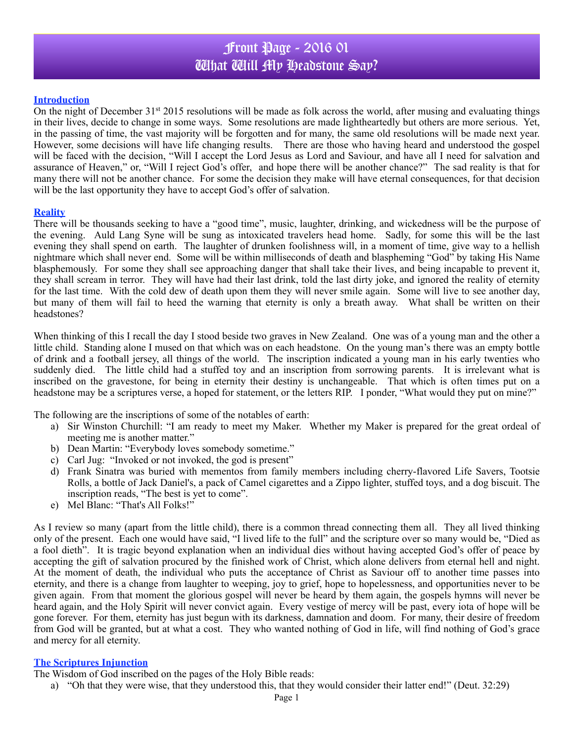## Front Page - 2016 01 What Will My Headstone Say?

#### **Introduction**

On the night of December  $31<sup>st</sup> 2015$  resolutions will be made as folk across the world, after musing and evaluating things in their lives, decide to change in some ways. Some resolutions are made lightheartedly but others are more serious. Yet, in the passing of time, the vast majority will be forgotten and for many, the same old resolutions will be made next year. However, some decisions will have life changing results. There are those who having heard and understood the gospel will be faced with the decision, "Will I accept the Lord Jesus as Lord and Saviour, and have all I need for salvation and assurance of Heaven," or, "Will I reject God's offer, and hope there will be another chance?" The sad reality is that for many there will not be another chance. For some the decision they make will have eternal consequences, for that decision will be the last opportunity they have to accept God's offer of salvation.

#### **Reality**

There will be thousands seeking to have a "good time", music, laughter, drinking, and wickedness will be the purpose of the evening. Auld Lang Syne will be sung as intoxicated travelers head home. Sadly, for some this will be the last evening they shall spend on earth. The laughter of drunken foolishness will, in a moment of time, give way to a hellish nightmare which shall never end. Some will be within milliseconds of death and blaspheming "God" by taking His Name blasphemously. For some they shall see approaching danger that shall take their lives, and being incapable to prevent it, they shall scream in terror. They will have had their last drink, told the last dirty joke, and ignored the reality of eternity for the last time. With the cold dew of death upon them they will never smile again. Some will live to see another day, but many of them will fail to heed the warning that eternity is only a breath away. What shall be written on their headstones?

When thinking of this I recall the day I stood beside two graves in New Zealand. One was of a young man and the other a little child. Standing alone I mused on that which was on each headstone. On the young man's there was an empty bottle of drink and a football jersey, all things of the world. The inscription indicated a young man in his early twenties who suddenly died.The little child had a stuffed toy and an inscription from sorrowing parents. It is irrelevant what is inscribed on the gravestone, for being in eternity their destiny is unchangeable. That which is often times put on a headstone may be a scriptures verse, a hoped for statement, or the letters RIP. I ponder, "What would they put on mine?"

The following are the inscriptions of some of the notables of earth:

- a) Sir Winston Churchill: "I am ready to meet my Maker. Whether my Maker is prepared for the great ordeal of meeting me is another matter."
- b) Dean Martin: "Everybody loves somebody sometime."
- c) Carl Jug: "Invoked or not invoked, the god is present"
- d) Frank Sinatra was buried with mementos from family members including cherry-flavored Life Savers, Tootsie Rolls, a bottle of Jack Daniel's, a pack of Camel cigarettes and a Zippo lighter, stuffed toys, and a dog biscuit. The inscription reads, "The best is yet to come".
- e) Mel Blanc: "That's All Folks!"

As I review so many (apart from the little child), there is a common thread connecting them all. They all lived thinking only of the present. Each one would have said, "I lived life to the full" and the scripture over so many would be, "Died as a fool dieth". It is tragic beyond explanation when an individual dies without having accepted God's offer of peace by accepting the gift of salvation procured by the finished work of Christ, which alone delivers from eternal hell and night. At the moment of death, the individual who puts the acceptance of Christ as Saviour off to another time passes into eternity, and there is a change from laughter to weeping, joy to grief, hope to hopelessness, and opportunities never to be given again. From that moment the glorious gospel will never be heard by them again, the gospels hymns will never be heard again, and the Holy Spirit will never convict again. Every vestige of mercy will be past, every iota of hope will be gone forever. For them, eternity has just begun with its darkness, damnation and doom. For many, their desire of freedom from God will be granted, but at what a cost. They who wanted nothing of God in life, will find nothing of God's grace and mercy for all eternity.

#### **The Scriptures Injunction**

The Wisdom of God inscribed on the pages of the Holy Bible reads:

a) "Oh that they were wise, that they understood this, that they would consider their latter end!" (Deut. 32:29)